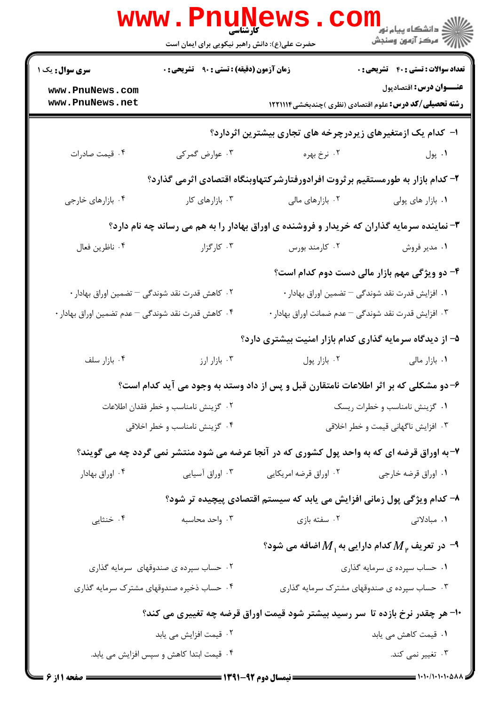|                                                                                            | <b>www.PnuNews</b><br><b>کارشناسی</b><br>حضرت علی(ع): دانش راهبر نیکویی برای ایمان است |                                                                                             | الار دانشگاه پیام نور<br>الاراض<br>الاراض مرکز آزمون وسنجش                               |  |
|--------------------------------------------------------------------------------------------|----------------------------------------------------------------------------------------|---------------------------------------------------------------------------------------------|------------------------------------------------------------------------------------------|--|
| <b>سری سوال :</b> یک ۱                                                                     | زمان آزمون (دقیقه) : تستی : ۹۰٪ تشریحی : ۰                                             |                                                                                             | <b>تعداد سوالات : تستی : 40 - تشریحی : 0</b>                                             |  |
| www.PnuNews.com<br>www.PnuNews.net                                                         |                                                                                        |                                                                                             | عنـــوان درس: اقتصادپول<br><b>رشته تحصیلی/کد درس:</b> علوم اقتصادی (نظری )چندبخشی1۲۲۱۱۱۴ |  |
|                                                                                            |                                                                                        |                                                                                             |                                                                                          |  |
|                                                                                            |                                                                                        | ا- کدام یک ازمتغیرهای زیردرچرخه های تجاری بیشترین اثردارد؟                                  |                                                                                          |  |
| ۰۴ قیمت صادرات                                                                             | ۰۳ عوارض گمرکی                                                                         | ۰۲ نرخ بهره                                                                                 | ۰۱ پول                                                                                   |  |
|                                                                                            |                                                                                        | ۲– کدام بازار به طورمستقیم بر ثروت افرادورفتارشر کتهاوبنگاه اقتصادی اثرمی گذارد؟            |                                                                                          |  |
| ۰۴ بازارهای خارجی                                                                          | ۰۳ بازارهای کار                                                                        | ۰۲ بازارهای مالی                                                                            | ٠١. بازار های پولی                                                                       |  |
| ۰۳ نماینده سرمایه گذاران که خریدار و فروشنده ی اوراق بهادار را به هم می رساند چه نام دارد؟ |                                                                                        |                                                                                             |                                                                                          |  |
| ۰۴ ناظرين فعال                                                                             | ۰۳ کارگزار                                                                             | ۰۲ کارمند بورس                                                                              | ۰۱ مدیر فروش                                                                             |  |
|                                                                                            |                                                                                        |                                                                                             | ۴- دو ویژگی مهم بازار مالی دست دوم کدام است؟                                             |  |
| ۰۲ کاهش قدرت نقد شوندگی — تضمین اوراق بهادار ۰                                             |                                                                                        |                                                                                             | ۰۱ افزایش قدرت نقد شوندگی — تضمین اوراق بهادار ۰                                         |  |
| ۰۴ کاهش قدرت نقد شوندگی – عدم تضمین اوراق بهادار                                           |                                                                                        |                                                                                             | ۰۳ افزایش قدرت نقد شوندگی $-$ عدم ضمانت اوراق بهادار                                     |  |
|                                                                                            |                                                                                        | ۵– از دیدگاه سرمایه گذاری کدام بازار امنیت بیشتری دارد؟                                     |                                                                                          |  |
| ۰۴ بازار سلف                                                                               | ۰۳ بازار ارز                                                                           | ٠٢ بازار پول                                                                                | ۰۱ بازار مالی                                                                            |  |
|                                                                                            |                                                                                        | ۶– دو مشکلی که بر اثر اطلاعات نامتقارن قبل و پس از داد وستد به وجود می آید کدام است؟        |                                                                                          |  |
| ٠٢ گزينش نامناسب و خطر فقدان اطلاعات<br>٠١ گزينش نامناسب و خطرات ريسك                      |                                                                                        |                                                                                             |                                                                                          |  |
|                                                                                            | ۰۴ گزینش نامناسب و خطر اخلاقی                                                          |                                                                                             | ۰۳ افزایش ناگهانی قیمت و خطر اخلاقی                                                      |  |
|                                                                                            |                                                                                        | ۷- به اوراق قرضه ای که به واحد پول کشوری که در آنجا عرضه می شود منتشر نمی گردد چه می گویند؟ |                                                                                          |  |
| ۰۴ اوراق بهادار                                                                            | ۰۳ اوراق آسیایی                                                                        | ۰۲ اوراق قرضه امریکایی                                                                      | ۰۱ اوراق قرضه خارجي                                                                      |  |
|                                                                                            |                                                                                        | ۸- کدام ویژگی پول زمانی افزایش می یابد که سیستم اقتصادی پیچیده تر شود؟                      |                                                                                          |  |
| ۰۴ خنثایی                                                                                  | ۰۳ واحد محاسبه                                                                         | ۰۲ سفته بازی                                                                                | ۱. مبادلاتی                                                                              |  |
|                                                                                            |                                                                                        |                                                                                             | $\cdot$ در تعریف $M_{\rm \, \mu}$ کدام دارایی به $M_{\rm \, \mu}$ اضافه می شود $\cdot$   |  |
|                                                                                            | ۰۲ حساب سپرده ی صندوقهای سرمایه گذاری                                                  |                                                                                             | ۰۱ حساب سپرده ی سرمایه گذاری                                                             |  |
|                                                                                            | ۰۴ حساب ذخیره صندوقهای مشترک سرمایه گذاری                                              |                                                                                             | ۰۳ حساب سپرده ی صندوقهای مشترک سرمایه گذاری                                              |  |
| +۱- هر چقدر نرخ بازده تا سر رسید بیشتر شود قیمت اوراق قرضه چه تغییری می کند؟               |                                                                                        |                                                                                             |                                                                                          |  |
|                                                                                            | ۰۲ قیمت افزایش می یابد                                                                 |                                                                                             | ۰۱ قیمت کاهش می یابد                                                                     |  |
|                                                                                            | ۰۴ قیمت ابتدا کاهش و سپس افزایش می یابد.                                               |                                                                                             | ۰۳ تغییر نمی کند.                                                                        |  |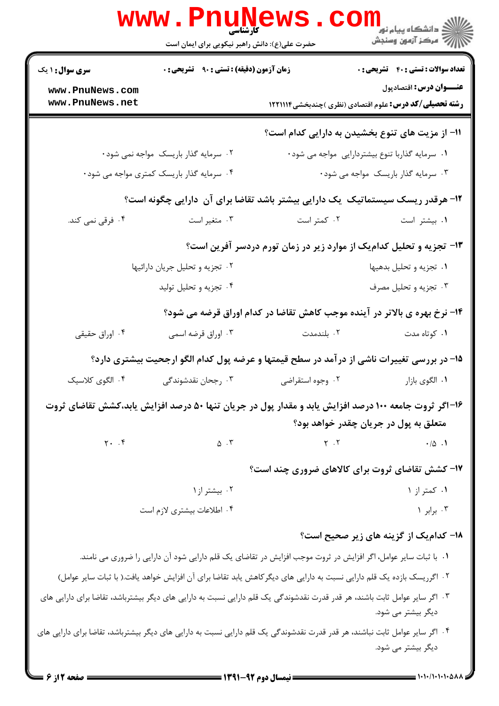|                                    | WWW . PNUNG<br>حضرت علی(ع): دانش راهبر نیکویی برای ایمان است                                                                                                                                                                                                                                                |                                                                                                                             | دانشگاه پیام نور<br>ا∛ مرکز آزمهن وسنجش                                                 |
|------------------------------------|-------------------------------------------------------------------------------------------------------------------------------------------------------------------------------------------------------------------------------------------------------------------------------------------------------------|-----------------------------------------------------------------------------------------------------------------------------|-----------------------------------------------------------------------------------------|
| <b>سری سوال : ۱ یک</b>             | زمان آزمون (دقیقه) : تستی : ۹۰٪ تشریحی : ۰                                                                                                                                                                                                                                                                  |                                                                                                                             | <b>تعداد سوالات : تستی : 40 قشریحی : 0</b>                                              |
| www.PnuNews.com<br>www.PnuNews.net |                                                                                                                                                                                                                                                                                                             |                                                                                                                             | عنــوان درس: اقتصادپول<br><b>رشته تحصیلی/کد درس:</b> علوم اقتصادی (نظری )چندبخشی1۲۲۱۱۱۴ |
|                                    |                                                                                                                                                                                                                                                                                                             |                                                                                                                             | 11- از مزیت های تنوع بخشیدن به دارایی کدام است؟                                         |
|                                    | ۰۲ سرمایه گذار باریسک مواجه نمی شود۰                                                                                                                                                                                                                                                                        |                                                                                                                             | ۰۱ سرمایه گذاربا تنوع بیشتردارایی مواجه می شود                                          |
|                                    | ۰۴ سرمایه گذار باریسک کمتری مواجه می شود۰                                                                                                                                                                                                                                                                   |                                                                                                                             | ۰۳ سرمایه گذار باریسک مواجه می شود۰                                                     |
|                                    | ۱۲- هرقدر ریسک سیستماتیک ًیک دارایی بیشتر باشد تقاضا برای آن دارایی چگونه است؟                                                                                                                                                                                                                              |                                                                                                                             |                                                                                         |
| ۰۴ فرقی نمی کند.                   | ۰۳ متغیر است                                                                                                                                                                                                                                                                                                | ۰۲ کمتر است                                                                                                                 | ٠١. بيشتر است                                                                           |
|                                    |                                                                                                                                                                                                                                                                                                             | ۱۳- تجزیه و تحلیل کدامیک از موارد زیر در زمان تورم دردسر آفرین است؟                                                         |                                                                                         |
|                                    | ۰۲ تجزیه و تحلیل جریان دارائیها                                                                                                                                                                                                                                                                             |                                                                                                                             | ٠١ تجزيه و تحليل بدهيها                                                                 |
|                                    | ۰۴ تجزیه و تحلیل تولید                                                                                                                                                                                                                                                                                      |                                                                                                                             | ۰۳ تجزیه و تحلیل مصرف                                                                   |
|                                    |                                                                                                                                                                                                                                                                                                             | ۱۴- نرخ بهره ی بالاتر در آینده موجب کاهش تقاضا در کدام اوراق قرضه می شود؟                                                   |                                                                                         |
| ۰۴ اوراق حقیقی                     | ۰۳ اوراق قرضه اسمی                                                                                                                                                                                                                                                                                          | ۰۲ بلندمدت                                                                                                                  | ۰۱ کوتاه مدت                                                                            |
|                                    | ۱۵– در بررسی تغییرات ناشی از درآمد در سطح قیمتها و عرضه پول کدام الگو ارجحیت بیشتری دارد؟                                                                                                                                                                                                                   |                                                                                                                             |                                                                                         |
| ۰۴ الگوی کلاسیک                    | ۰۳ رجحان نقدشوندگی                                                                                                                                                                                                                                                                                          | ٠٢ وجوه استقراضي                                                                                                            | ٠١ الگوي بازار                                                                          |
|                                    | ۱۶–اگر ثروت جامعه ۱۰۰ درصد افزایش یابد و مقدار پول در جریان تنها ۵۰ درصد افزایش یابد،کشش تقاضای ثروت                                                                                                                                                                                                        |                                                                                                                             |                                                                                         |
|                                    |                                                                                                                                                                                                                                                                                                             |                                                                                                                             | متعلق به پول در جریان چقدر خواهد بود؟                                                   |
|                                    | $\gamma$ . $\zeta$ $\gamma$ $\zeta$ $\zeta$ $\zeta$ $\zeta$ $\zeta$ $\zeta$ $\zeta$ $\zeta$ $\zeta$ $\zeta$ $\zeta$ $\zeta$ $\zeta$ $\zeta$ $\zeta$ $\zeta$ $\zeta$ $\zeta$ $\zeta$ $\zeta$ $\zeta$ $\zeta$ $\zeta$ $\zeta$ $\zeta$ $\zeta$ $\zeta$ $\zeta$ $\zeta$ $\zeta$ $\zeta$ $\zeta$ $\zeta$ $\zeta$ |                                                                                                                             |                                                                                         |
|                                    |                                                                                                                                                                                                                                                                                                             | ۱۷- کشش تقاضای ثروت برای کالاهای ضروری چند است؟                                                                             |                                                                                         |
|                                    | ۰۲ بیشتر از ۱                                                                                                                                                                                                                                                                                               |                                                                                                                             | ٠. کمتر از ١                                                                            |
|                                    | ۰۴ اطلاعات بيشتري لازم است                                                                                                                                                                                                                                                                                  |                                                                                                                             | ۰۳ برابر ۱                                                                              |
|                                    |                                                                                                                                                                                                                                                                                                             |                                                                                                                             | 1۸- کدام یک از گزینه های زیر صحیح است؟                                                  |
|                                    | ۰۱ با ثبات سایر عوامل، اگر افزایش در ثروت موجب افزایش در تقاضای یک قلم دارایی شود آن دارایی را ضروری می نامند.                                                                                                                                                                                              |                                                                                                                             |                                                                                         |
|                                    | ۲. اگرریسک بازده یک قلم دارایی نسبت به دارایی های دیگرکاهش یابد تقاضا برای آن افزایش خواهد یافت.( با ثبات سایر عوامل)                                                                                                                                                                                       |                                                                                                                             |                                                                                         |
|                                    | ۰۳ اگر سایر عوامل ثابت باشند، هر قدر قدرت نقدشوندگی یک قلم دارایی نسبت به دارایی های دیگر بیشترباشد، تقاضا برای دارایی های                                                                                                                                                                                  |                                                                                                                             | دیگر بیشتر می شود.                                                                      |
|                                    |                                                                                                                                                                                                                                                                                                             | ۰۴ اگر سایر عوامل ثابت نباشند، هر قدر قدرت نقدشوندگی یک قلم دارایی نسبت به دارایی های دیگر بیشترباشد، تقاضا برای دارایی های |                                                                                         |

دیگر بیشتر می شود.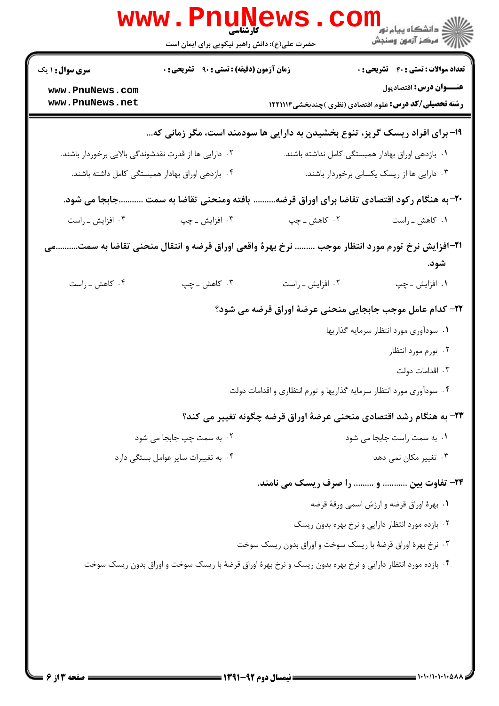|                                                       | WWW.Pnung<br>حضرت علی(ع): دانش راهبر نیکویی برای ایمان است                                                   |                                                                     | ڪ دانشڪاه پيام نور<br><mark>√</mark> مرڪز آزمون وسنڊش                                    |
|-------------------------------------------------------|--------------------------------------------------------------------------------------------------------------|---------------------------------------------------------------------|------------------------------------------------------------------------------------------|
| <b>سری سوال : ۱ یک</b>                                | <b>زمان آزمون (دقیقه) : تستی : ۹۰ تشریحی : 0</b>                                                             |                                                                     | <b>تعداد سوالات : تستی : 40 - تشریحی : 0</b>                                             |
| www.PnuNews.com<br>www.PnuNews.net                    |                                                                                                              |                                                                     | عنـــوان درس: اقتصادپول<br><b>رشته تحصیلی/کد درس:</b> علوم اقتصادی (نظری )چندبخشی1۲۲۱۱۱۴ |
|                                                       | ۱۹- برای افراد ریسک گریز، تنوع بخشیدن به دارایی ها سودمند است، مگر زمانی که                                  |                                                                     |                                                                                          |
| ۰۲ دارایی ها از قدرت نقدشوندگی بالایی برخوردار باشند. |                                                                                                              |                                                                     | ۰۱ بازدهی اوراق بهادار همبستگی کامل نداشته باشند.                                        |
|                                                       | ۰۴ بازدهی اوراق بهادار همبستگی کامل داشته باشند.                                                             |                                                                     | ۰۳ دارایی ها از ریسک یکسانی برخوردار باشند.                                              |
| جابجا می شود.                                         | يافته ومنحنى تقاضا به سمت                                                                                    |                                                                     | ۲۰- به هنگام رکود اقتصادی تقاضا برای اوراق قرضه                                          |
| ۰۴ افزايش ـ راست                                      | ۰۳ افزایش ـ چپ                                                                                               | ۰۲ کاهش ــ چپ                                                       | ۰۱ کاهش ـ راست                                                                           |
|                                                       | <b>۱۲</b> -آفزایش نرخ تورم مورد انتظار موجب  نرخ بهرهٔ واقعی اوراق قرضه و انتقال منحنی تقاضا به سمتمی        |                                                                     | شود.                                                                                     |
| ۰۴ کاهش ـ راست                                        | ۰۳ کاهش ــ چپ                                                                                                | ۰۲ افزایش ـ راست                                                    | ۰۱ افزایش ـ چپ                                                                           |
|                                                       |                                                                                                              | ٢٢- كدام عامل موجب جابجايي منحني عرضة اوراق قرضه مي شود؟            |                                                                                          |
|                                                       |                                                                                                              |                                                                     | ۰۱ سودآوری مورد انتظار سرمایه گذاریها                                                    |
|                                                       |                                                                                                              |                                                                     | ۰۲ تورم مورد انتظار                                                                      |
|                                                       |                                                                                                              |                                                                     | ۰۳ اقدامات دولت                                                                          |
|                                                       |                                                                                                              | ۰۴ سودآوری مورد انتظار سرمایه گذاریها و تورم انتظاری و اقدامات دولت |                                                                                          |
|                                                       |                                                                                                              | ۲۳- به هنگام رشد اقتصادی منحنی عرضهٔ اوراق قرضه چگونه تغییر می کند؟ |                                                                                          |
|                                                       | ۰۲ به سمت چپ جابجا می شود                                                                                    |                                                                     | ٠١. به سمت راست جابجا مي شود                                                             |
|                                                       | ۰۴ به تغییرات سایر عوامل بستگی دارد                                                                          |                                                                     | ۰۳ تغییر مکان نمی دهد                                                                    |
|                                                       |                                                                                                              | ۲۴- تفاوت بین  و  را صرف ریسک می نامند.                             |                                                                                          |
|                                                       |                                                                                                              |                                                                     | ٠١ بهرة اوراق قرضه و ارزش اسمي ورقة قرضه                                                 |
|                                                       |                                                                                                              |                                                                     | ۰۲ بازده مورد انتظار دارایی و نرخ بهره بدون ریسک                                         |
|                                                       |                                                                                                              | ۰۳ نرخ بهرهٔ اوراق قرضهٔ با ریسک سوخت و اوراق بدون ریسک سوخت        |                                                                                          |
|                                                       | ۰۴ بازده مورد انتظار دارایی و نرخ بهره بدون ریسک و نرخ بهرهٔ اوراق قرضهٔ با ریسک سوخت و اوراق بدون ریسک سوخت |                                                                     |                                                                                          |
|                                                       |                                                                                                              |                                                                     |                                                                                          |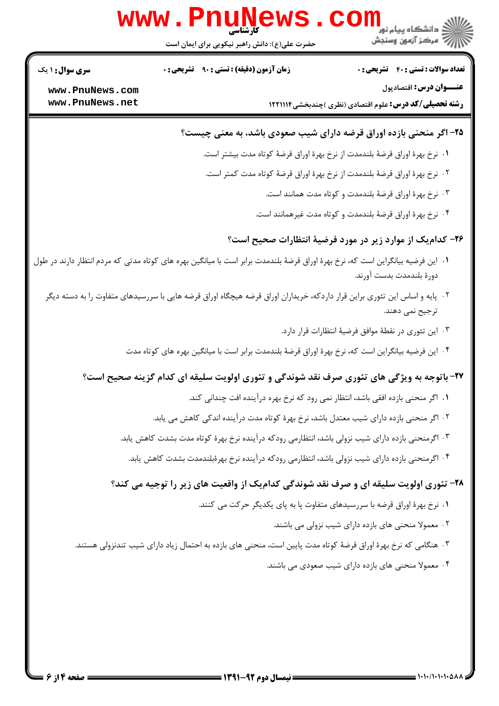

1. این فرضیه بیانگراین است که، نرخ بهرهٔ اوراق قرضهٔ بلندمدت برابر است با میانگین بهره های کوتاه مدتی که مردم انتظار دارند در طول دورة بلندمدت بدست آورند.

حضرت علی(ع): دانش راهبر نیکویی برای ایمان است

**زمان آزمون (دقیقه) : تستی : 90 ٪ تشریحی : 0** 

www.PnuNe

- ۲۰٪ پایه و اساس این تئوری براین قرار داردکه، خریداران اوراق قرضه هیچگاه اوراق قرضه هایی با سررسیدهای متفاوت را به دسته دیگر ترجيح نمي دهند.
	-

 $\overline{\textsf{WS}}$  .  $\textsf{com}_{\textsf{g}_\textsf{sup} \cup \textsf{g}_\textsf{sup}}$ 

**رشته تحصیلی/کد درس: ع**لوم اقتصادی (نظری )چندبخشی1۲۲۱۱۱۴

۰۳ نرخ بهرهٔ اوراق قرضهٔ بلندمدت و کوتاه مدت همانند است.

۰۴ نرخ بهرهٔ اوراق قرضهٔ بلندمدت و کوتاه مدت غیرهمانند است.

۲۶- کدام یک از موارد زیر در مورد فرضیهٔ انتظارات صحیح است؟

۲۵- اگر منحنی بازده اوراق قرضه دارای شیب صعودی باشد، به معنی چیست؟

٠١. نرخ بهرة اوراق قرضة بلندمدت از نرخ بهرة اوراق قرضة كوتاه مدت بيشتر است.

۲ . نرخ بهرهٔ اوراق قرضهٔ بلندمدت از نرخ بهرهٔ اوراق قرضهٔ کوتاه مدت کمتر است.

أأأآت مركز آزمون وسنجش

**تعداد سوالات : تستي : 40 - تشريحي : 0** 

عنـــوان درس: اقتصادیول

- 
- ۰۳ این تئوری در نقطهٔ موافق فرضیهٔ انتظارات قرار دارد.
	- ۰۴ این فرضیه بیانگراین است که، نرخ بهرهٔ اوراق قرضهٔ بلندمدت برابر است با میانگین بهره های کوتاه مدت
	- - -
		- ۲ . اگر منحنی بازده دارای شیب معتدل باشد، نرخ بهرهٔ کوتاه مدت درآینده اندکی کاهش می یابد.
		- ۰۳ اگرمنحنی بازده دارای شیب نزولی باشد، انتظارمی رودکه درآینده نرخ بهرهٔ کوتاه مدت بشدت کاهش یابد.
			- ۰۴ اگرمنحنی بازده دارای شیب نزولی باشد، انتظارمی رودکه درآینده نرخ بهرهٔبلندمدت بشدت کاهش یابد.

## ۲۸- تئوري اولويت سليقه اي و صرف نقد شوندگي كداميك از واقعيت هاي زير را توجيه مي كند؟

۰۳ هنگامی که نرخ بهرهٔ اوراق قرضهٔ کوتاه مدت پایین است، منحنی های بازده به احتمال زیاد دارای شیب تندنزولی هستند.

**سری سوال :** ۱ یک

www.PnuNews.com www.PnuNews.net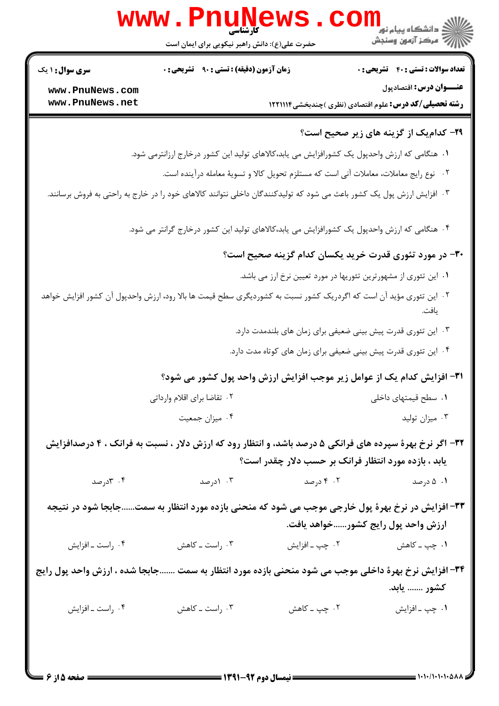| <b>زمان آزمون (دقیقه) : تستی : ۹۰ قشریحی : 0</b><br><b>سری سوال : ۱ یک</b><br>www.PnuNews.com<br>www.PnuNews.net<br><b>رشته تحصیلی/کد درس:</b> علوم اقتصادی (نظری )چندبخشی1۲۲۱۱۱۴<br>۲۹- کدام یک از گزینه های زیر صحیح است؟<br>۱.  هنگامی که ارزش واحدپول یک کشورافزایش می یابد،کالاهای تولید این کشور درخارج ارزانترمی شود.<br>٢.   نوع رايج معاملات، معاملات أني است كه مستلزم تحويل كالا و تسويهٔ معامله درأينده است.<br>۰۳ افزایش ارزش پول یک کشور باعث می شود که تولیدکنندگان داخلی نتوانند کالاهای خود را در خارج به راحتی به فروش برسانند.<br>۰۴ هنگامی که ارزش واحدپول یک کشورافزایش می یابد،کالاهای تولید این کشور درخارج گرانتر می شود.<br>۳۰– در مورد تئوری قدرت خرید یکسان کدام گزینه صحیح است؟<br>۰۱ این تئوری از مشهورترین تئوریها در مورد تعیین نرخ ارز می باشد.<br>۲. این تئوری مؤید آن است که اگردریک کشور نسبت به کشوردیگری سطح قیمت ها بالا رود، ارزش واحدپول آن کشور افزایش خواهد<br>۰۳ این تئوری قدرت پیش بینی ضعیفی برای زمان های بلندمدت دارد.<br>۰۴ این تئوری قدرت پیش بینی ضعیفی برای زمان های کوتاه مدت دارد.<br>٣١- افزايش كدام يك از عوامل زير موجب افزايش ارزش واحد پول كشور مي شود؟<br>٠١ سطح قيمتهاى داخلى<br>۰۲ تقاضا برای اقلام وارداتی<br>۰۳ میزان تولید<br>۰۴ میزان جمعیت<br>۳۲- اگر نرخ بهرهٔ سپرده های فرانکی ۵ درصد باشد، و انتظار رود که ارزش دلار ، نسبت به فرانک ، ۴ درصدافزایش<br>یابد ، بازده مورد انتظار فرانک بر حسب دلار چقدر است؟<br>۰۴ کادرصد<br>۰۳ (درصد<br>۰۲ درصد<br>۰۱ ۵ درصد<br>۳۳- افزایش در نرخ بهرهٔ پول خارجی موجب می شود که منحنی بازده مورد انتظار به سمتجابجا شود در نتیجه<br>ارزش واحد پول رایج کشورخواهد یافت.<br>۰۴ راست ـ افزايش<br>۰۳ راست ــ کاهش<br>۳۴- افزایش نرخ بهرهٔ داخلی موجب می شود منحنی بازده مورد انتظار به سمت جابجا شده ، ارزش واحد پول رایج<br>كشور  يابد.<br>۰۲ چپ ــ کاهش<br>۰۴ راست ـ افزايش<br>۰۳ راست ــ کاهش<br>۰۱ چپ ـ افزايش | <b>www.PnuNews</b><br>حضرت علی(ع): دانش راهبر نیکویی برای ایمان است | رد دانشڪاه پيام نور ■<br>ار⊂ مرکز آزمون وسنجش |
|----------------------------------------------------------------------------------------------------------------------------------------------------------------------------------------------------------------------------------------------------------------------------------------------------------------------------------------------------------------------------------------------------------------------------------------------------------------------------------------------------------------------------------------------------------------------------------------------------------------------------------------------------------------------------------------------------------------------------------------------------------------------------------------------------------------------------------------------------------------------------------------------------------------------------------------------------------------------------------------------------------------------------------------------------------------------------------------------------------------------------------------------------------------------------------------------------------------------------------------------------------------------------------------------------------------------------------------------------------------------------------------------------------------------------------------------------------------------------------------------------------------------------------------------------------------------------------------------------------------------------------------------------------------------------------------------------------------------------------------------------------------------------------------------------------------------|---------------------------------------------------------------------|-----------------------------------------------|
|                                                                                                                                                                                                                                                                                                                                                                                                                                                                                                                                                                                                                                                                                                                                                                                                                                                                                                                                                                                                                                                                                                                                                                                                                                                                                                                                                                                                                                                                                                                                                                                                                                                                                                                                                                                                                      |                                                                     | <b>تعداد سوالات : تستی : 40 - تشریحی : 0</b>  |
|                                                                                                                                                                                                                                                                                                                                                                                                                                                                                                                                                                                                                                                                                                                                                                                                                                                                                                                                                                                                                                                                                                                                                                                                                                                                                                                                                                                                                                                                                                                                                                                                                                                                                                                                                                                                                      |                                                                     | عنـــوان درس: اقتصادپول                       |
|                                                                                                                                                                                                                                                                                                                                                                                                                                                                                                                                                                                                                                                                                                                                                                                                                                                                                                                                                                                                                                                                                                                                                                                                                                                                                                                                                                                                                                                                                                                                                                                                                                                                                                                                                                                                                      |                                                                     |                                               |
|                                                                                                                                                                                                                                                                                                                                                                                                                                                                                                                                                                                                                                                                                                                                                                                                                                                                                                                                                                                                                                                                                                                                                                                                                                                                                                                                                                                                                                                                                                                                                                                                                                                                                                                                                                                                                      |                                                                     |                                               |
|                                                                                                                                                                                                                                                                                                                                                                                                                                                                                                                                                                                                                                                                                                                                                                                                                                                                                                                                                                                                                                                                                                                                                                                                                                                                                                                                                                                                                                                                                                                                                                                                                                                                                                                                                                                                                      |                                                                     |                                               |
|                                                                                                                                                                                                                                                                                                                                                                                                                                                                                                                                                                                                                                                                                                                                                                                                                                                                                                                                                                                                                                                                                                                                                                                                                                                                                                                                                                                                                                                                                                                                                                                                                                                                                                                                                                                                                      |                                                                     |                                               |
|                                                                                                                                                                                                                                                                                                                                                                                                                                                                                                                                                                                                                                                                                                                                                                                                                                                                                                                                                                                                                                                                                                                                                                                                                                                                                                                                                                                                                                                                                                                                                                                                                                                                                                                                                                                                                      |                                                                     |                                               |
|                                                                                                                                                                                                                                                                                                                                                                                                                                                                                                                                                                                                                                                                                                                                                                                                                                                                                                                                                                                                                                                                                                                                                                                                                                                                                                                                                                                                                                                                                                                                                                                                                                                                                                                                                                                                                      |                                                                     |                                               |
|                                                                                                                                                                                                                                                                                                                                                                                                                                                                                                                                                                                                                                                                                                                                                                                                                                                                                                                                                                                                                                                                                                                                                                                                                                                                                                                                                                                                                                                                                                                                                                                                                                                                                                                                                                                                                      |                                                                     |                                               |
|                                                                                                                                                                                                                                                                                                                                                                                                                                                                                                                                                                                                                                                                                                                                                                                                                                                                                                                                                                                                                                                                                                                                                                                                                                                                                                                                                                                                                                                                                                                                                                                                                                                                                                                                                                                                                      |                                                                     |                                               |
|                                                                                                                                                                                                                                                                                                                                                                                                                                                                                                                                                                                                                                                                                                                                                                                                                                                                                                                                                                                                                                                                                                                                                                                                                                                                                                                                                                                                                                                                                                                                                                                                                                                                                                                                                                                                                      |                                                                     |                                               |
|                                                                                                                                                                                                                                                                                                                                                                                                                                                                                                                                                                                                                                                                                                                                                                                                                                                                                                                                                                                                                                                                                                                                                                                                                                                                                                                                                                                                                                                                                                                                                                                                                                                                                                                                                                                                                      |                                                                     |                                               |
|                                                                                                                                                                                                                                                                                                                                                                                                                                                                                                                                                                                                                                                                                                                                                                                                                                                                                                                                                                                                                                                                                                                                                                                                                                                                                                                                                                                                                                                                                                                                                                                                                                                                                                                                                                                                                      |                                                                     |                                               |
|                                                                                                                                                                                                                                                                                                                                                                                                                                                                                                                                                                                                                                                                                                                                                                                                                                                                                                                                                                                                                                                                                                                                                                                                                                                                                                                                                                                                                                                                                                                                                                                                                                                                                                                                                                                                                      |                                                                     |                                               |
|                                                                                                                                                                                                                                                                                                                                                                                                                                                                                                                                                                                                                                                                                                                                                                                                                                                                                                                                                                                                                                                                                                                                                                                                                                                                                                                                                                                                                                                                                                                                                                                                                                                                                                                                                                                                                      |                                                                     |                                               |
|                                                                                                                                                                                                                                                                                                                                                                                                                                                                                                                                                                                                                                                                                                                                                                                                                                                                                                                                                                                                                                                                                                                                                                                                                                                                                                                                                                                                                                                                                                                                                                                                                                                                                                                                                                                                                      |                                                                     |                                               |
|                                                                                                                                                                                                                                                                                                                                                                                                                                                                                                                                                                                                                                                                                                                                                                                                                                                                                                                                                                                                                                                                                                                                                                                                                                                                                                                                                                                                                                                                                                                                                                                                                                                                                                                                                                                                                      |                                                                     |                                               |
|                                                                                                                                                                                                                                                                                                                                                                                                                                                                                                                                                                                                                                                                                                                                                                                                                                                                                                                                                                                                                                                                                                                                                                                                                                                                                                                                                                                                                                                                                                                                                                                                                                                                                                                                                                                                                      |                                                                     |                                               |
|                                                                                                                                                                                                                                                                                                                                                                                                                                                                                                                                                                                                                                                                                                                                                                                                                                                                                                                                                                                                                                                                                                                                                                                                                                                                                                                                                                                                                                                                                                                                                                                                                                                                                                                                                                                                                      |                                                                     |                                               |
|                                                                                                                                                                                                                                                                                                                                                                                                                                                                                                                                                                                                                                                                                                                                                                                                                                                                                                                                                                                                                                                                                                                                                                                                                                                                                                                                                                                                                                                                                                                                                                                                                                                                                                                                                                                                                      |                                                                     |                                               |
|                                                                                                                                                                                                                                                                                                                                                                                                                                                                                                                                                                                                                                                                                                                                                                                                                                                                                                                                                                                                                                                                                                                                                                                                                                                                                                                                                                                                                                                                                                                                                                                                                                                                                                                                                                                                                      |                                                                     |                                               |